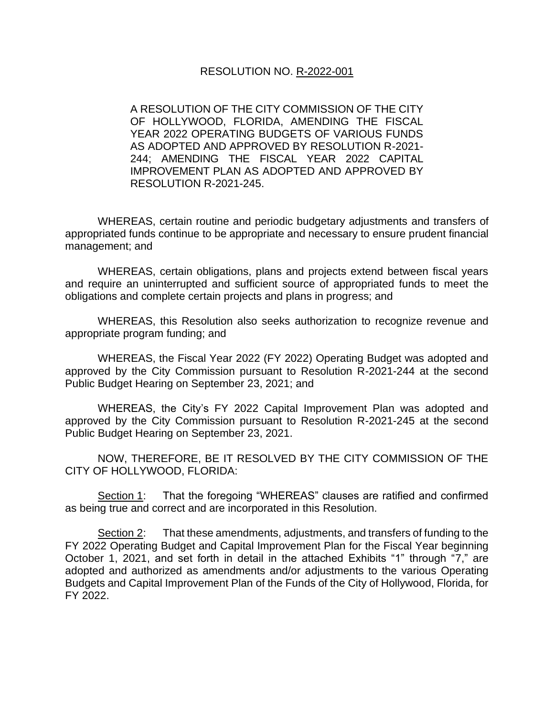#### RESOLUTION NO. R-2022-001

A RESOLUTION OF THE CITY COMMISSION OF THE CITY OF HOLLYWOOD, FLORIDA, AMENDING THE FISCAL YEAR 2022 OPERATING BUDGETS OF VARIOUS FUNDS AS ADOPTED AND APPROVED BY RESOLUTION R-2021- 244; AMENDING THE FISCAL YEAR 2022 CAPITAL IMPROVEMENT PLAN AS ADOPTED AND APPROVED BY RESOLUTION R-2021-245.

WHEREAS, certain routine and periodic budgetary adjustments and transfers of appropriated funds continue to be appropriate and necessary to ensure prudent financial management; and

WHEREAS, certain obligations, plans and projects extend between fiscal years and require an uninterrupted and sufficient source of appropriated funds to meet the obligations and complete certain projects and plans in progress; and

WHEREAS, this Resolution also seeks authorization to recognize revenue and appropriate program funding; and

WHEREAS, the Fiscal Year 2022 (FY 2022) Operating Budget was adopted and approved by the City Commission pursuant to Resolution R-2021-244 at the second Public Budget Hearing on September 23, 2021; and

WHEREAS, the City's FY 2022 Capital Improvement Plan was adopted and approved by the City Commission pursuant to Resolution R-2021-245 at the second Public Budget Hearing on September 23, 2021.

NOW, THEREFORE, BE IT RESOLVED BY THE CITY COMMISSION OF THE CITY OF HOLLYWOOD, FLORIDA:

Section 1: That the foregoing "WHEREAS" clauses are ratified and confirmed as being true and correct and are incorporated in this Resolution.

Section 2: That these amendments, adjustments, and transfers of funding to the FY 2022 Operating Budget and Capital Improvement Plan for the Fiscal Year beginning October 1, 2021, and set forth in detail in the attached Exhibits "1" through "7," are adopted and authorized as amendments and/or adjustments to the various Operating Budgets and Capital Improvement Plan of the Funds of the City of Hollywood, Florida, for FY 2022.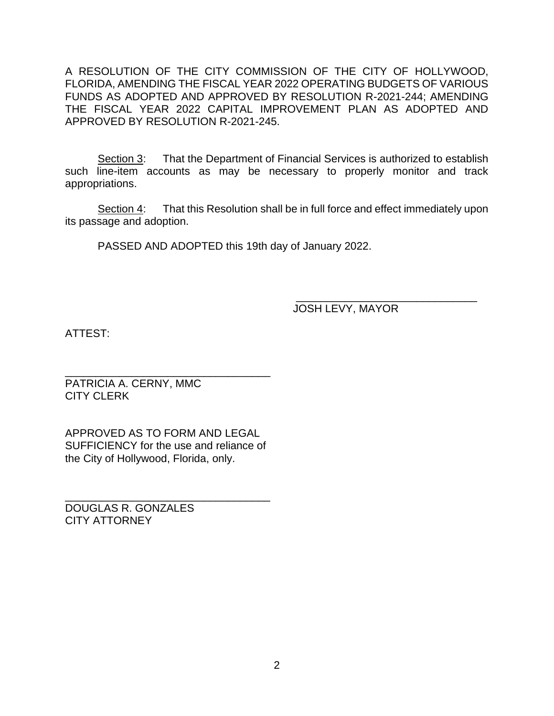A RESOLUTION OF THE CITY COMMISSION OF THE CITY OF HOLLYWOOD, FLORIDA, AMENDING THE FISCAL YEAR 2022 OPERATING BUDGETS OF VARIOUS FUNDS AS ADOPTED AND APPROVED BY RESOLUTION R-2021-244; AMENDING THE FISCAL YEAR 2022 CAPITAL IMPROVEMENT PLAN AS ADOPTED AND APPROVED BY RESOLUTION R-2021-245.

Section 3: That the Department of Financial Services is authorized to establish such line-item accounts as may be necessary to properly monitor and track appropriations.

Section 4: That this Resolution shall be in full force and effect immediately upon its passage and adoption.

PASSED AND ADOPTED this 19th day of January 2022.

 $\frac{1}{2}$  ,  $\frac{1}{2}$  ,  $\frac{1}{2}$  ,  $\frac{1}{2}$  ,  $\frac{1}{2}$  ,  $\frac{1}{2}$  ,  $\frac{1}{2}$  ,  $\frac{1}{2}$  ,  $\frac{1}{2}$  ,  $\frac{1}{2}$  ,  $\frac{1}{2}$  ,  $\frac{1}{2}$  ,  $\frac{1}{2}$  ,  $\frac{1}{2}$  ,  $\frac{1}{2}$  ,  $\frac{1}{2}$  ,  $\frac{1}{2}$  ,  $\frac{1}{2}$  ,  $\frac{1$ JOSH LEVY, MAYOR

ATTEST:

\_\_\_\_\_\_\_\_\_\_\_\_\_\_\_\_\_\_\_\_\_\_\_\_\_\_\_\_\_\_\_\_\_\_ PATRICIA A. CERNY, MMC CITY CLERK

APPROVED AS TO FORM AND LEGAL SUFFICIENCY for the use and reliance of the City of Hollywood, Florida, only.

\_\_\_\_\_\_\_\_\_\_\_\_\_\_\_\_\_\_\_\_\_\_\_\_\_\_\_\_\_\_\_\_\_\_

DOUGLAS R. GONZALES CITY ATTORNEY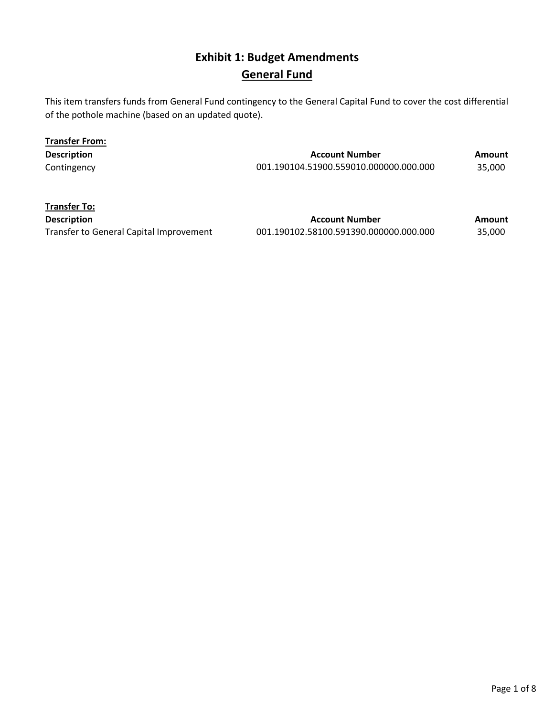## **Exhibit 1: Budget Amendments General Fund**

This item transfers funds from General Fund contingency to the General Capital Fund to cover the cost differential of the pothole machine (based on an updated quote).

| <b>Transfer From:</b> |                                        |        |
|-----------------------|----------------------------------------|--------|
| <b>Description</b>    | <b>Account Number</b>                  | Amount |
| Contingency           | 001.190104.51900.559010.000000.000.000 | 35.000 |

**Transfer To:**

**Description Account Number Amount Amount** Transfer to General Capital Improvement 001.190102.58100.591390.000000.000.000 35,000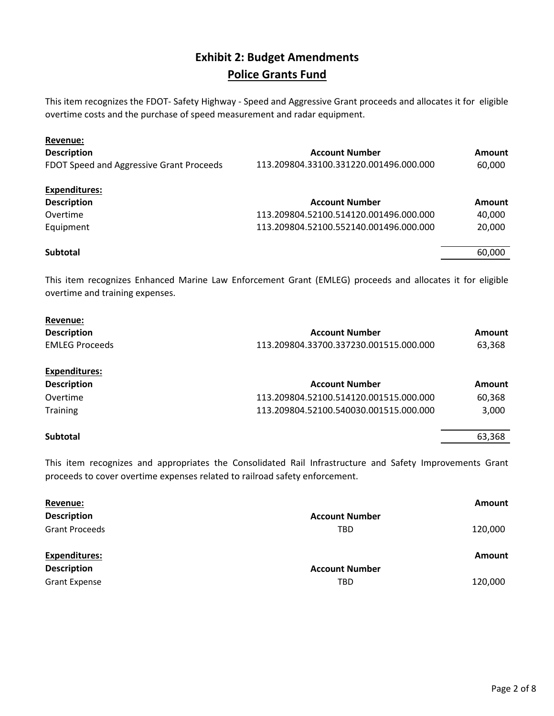#### **Exhibit 2: Budget Amendments Police Grants Fund**

This item recognizes the FDOT- Safety Highway - Speed and Aggressive Grant proceeds and allocates it for eligible overtime costs and the purchase of speed measurement and radar equipment.

| Revenue:                                 |                                        |        |
|------------------------------------------|----------------------------------------|--------|
| <b>Description</b>                       | <b>Account Number</b>                  | Amount |
| FDOT Speed and Aggressive Grant Proceeds | 113.209804.33100.331220.001496.000.000 | 60,000 |
| <b>Expenditures:</b>                     |                                        |        |
| <b>Description</b>                       | <b>Account Number</b>                  | Amount |
| Overtime                                 | 113.209804.52100.514120.001496.000.000 | 40,000 |
| Equipment                                | 113.209804.52100.552140.001496.000.000 | 20,000 |
|                                          |                                        |        |
| <b>Subtotal</b>                          |                                        | 60,000 |

This item recognizes Enhanced Marine Law Enforcement Grant (EMLEG) proceeds and allocates it for eligible overtime and training expenses.

| Revenue:              |                                        |        |
|-----------------------|----------------------------------------|--------|
| <b>Description</b>    | <b>Account Number</b>                  | Amount |
| <b>EMLEG Proceeds</b> | 113.209804.33700.337230.001515.000.000 | 63.368 |

| <b>Expenditures:</b> |                                        |        |
|----------------------|----------------------------------------|--------|
| <b>Description</b>   | <b>Account Number</b>                  | Amount |
| Overtime             | 113.209804.52100.514120.001515.000.000 | 60,368 |
| <b>Training</b>      | 113.209804.52100.540030.001515.000.000 | 3,000  |
| <b>Subtotal</b>      |                                        | 63.368 |

This item recognizes and appropriates the Consolidated Rail Infrastructure and Safety Improvements Grant proceeds to cover overtime expenses related to railroad safety enforcement.

| Revenue:              |                       | Amount  |
|-----------------------|-----------------------|---------|
| <b>Description</b>    | <b>Account Number</b> |         |
| <b>Grant Proceeds</b> | <b>TBD</b>            | 120,000 |
|                       |                       |         |
| <b>Expenditures:</b>  |                       | Amount  |
| <b>Description</b>    | <b>Account Number</b> |         |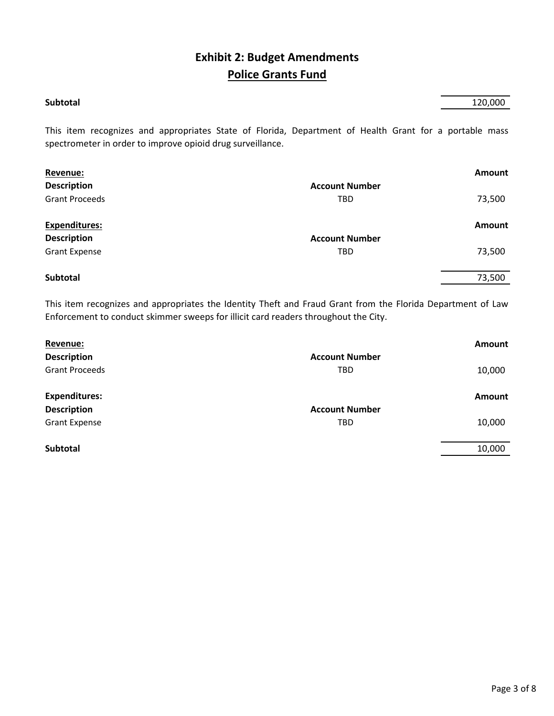## **Exhibit 2: Budget Amendments Police Grants Fund**

| Subtotal | 120,000 |
|----------|---------|
|          |         |

This item recognizes and appropriates State of Florida, Department of Health Grant for a portable mass spectrometer in order to improve opioid drug surveillance.

| Revenue:              |                       | Amount |
|-----------------------|-----------------------|--------|
| <b>Description</b>    | <b>Account Number</b> |        |
| <b>Grant Proceeds</b> | <b>TBD</b>            | 73,500 |
| <b>Expenditures:</b>  |                       | Amount |
| <b>Description</b>    | <b>Account Number</b> |        |
| <b>Grant Expense</b>  | <b>TBD</b>            | 73,500 |
| Subtotal              |                       | 73,500 |
|                       |                       |        |

This item recognizes and appropriates the Identity Theft and Fraud Grant from the Florida Department of Law Enforcement to conduct skimmer sweeps for illicit card readers throughout the City.

| Revenue:              |                       | <b>Amount</b> |
|-----------------------|-----------------------|---------------|
| <b>Description</b>    | <b>Account Number</b> |               |
| <b>Grant Proceeds</b> | <b>TBD</b>            | 10,000        |
| <b>Expenditures:</b>  |                       | <b>Amount</b> |
| <b>Description</b>    | <b>Account Number</b> |               |
| <b>Grant Expense</b>  | <b>TBD</b>            | 10,000        |
|                       |                       |               |
| Subtotal              |                       | 10,000        |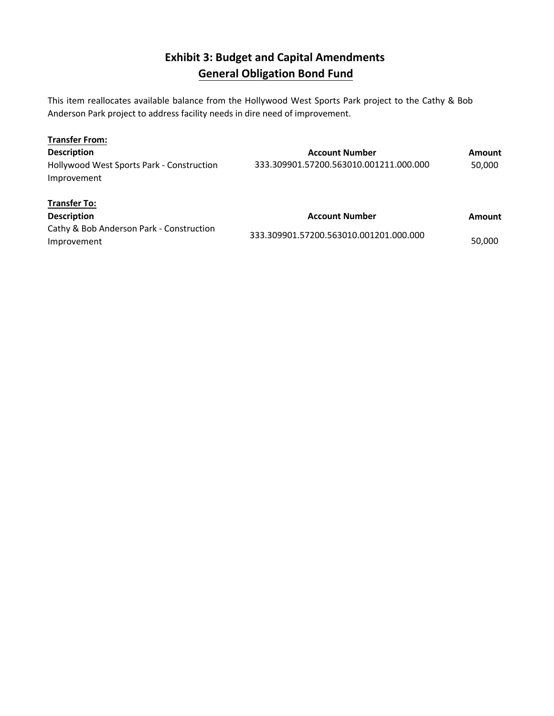# **Exhibit 3: Budget and Capital Amendments General Obligation Bond Fund**

This item reallocates available balance from the Hollywood West Sports Park project to the Cathy & Bob Anderson Park project to address facility needs in dire need of improvement.

| <b>Transfer From:</b>                                    |                                        |               |
|----------------------------------------------------------|----------------------------------------|---------------|
| <b>Description</b>                                       | <b>Account Number</b>                  | <b>Amount</b> |
| Hollywood West Sports Park - Construction<br>Improvement | 333.309901.57200.563010.001211.000.000 | 50,000        |
| <b>Transfer To:</b>                                      |                                        |               |
| <b>Description</b>                                       | <b>Account Number</b>                  | Amount        |
| Cathy & Bob Anderson Park - Construction                 |                                        |               |
| Improvement                                              | 333.309901.57200.563010.001201.000.000 | 50,000        |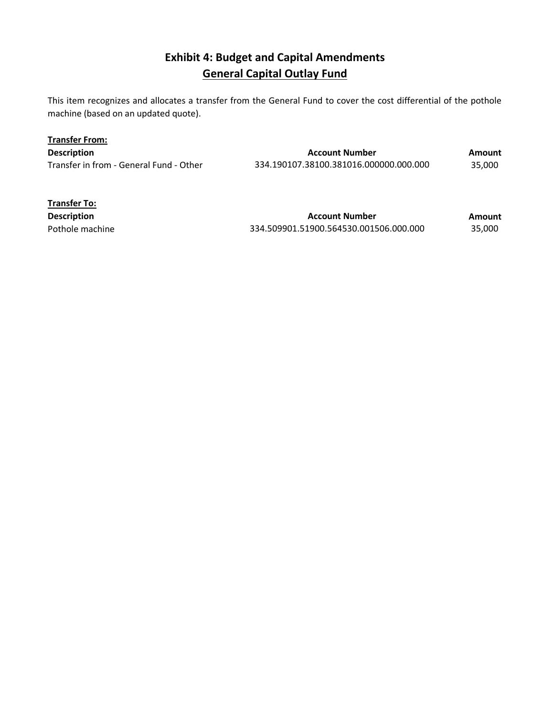## **Exhibit 4: Budget and Capital Amendments General Capital Outlay Fund**

This item recognizes and allocates a transfer from the General Fund to cover the cost differential of the pothole machine (based on an updated quote).

| <b>Transfer From:</b>                   |                                        |        |
|-----------------------------------------|----------------------------------------|--------|
| <b>Description</b>                      | <b>Account Number</b>                  | Amount |
| Transfer in from - General Fund - Other | 334.190107.38100.381016.000000.000.000 | 35.000 |

| <b>Transfer To:</b> |                                        |        |
|---------------------|----------------------------------------|--------|
| <b>Description</b>  | <b>Account Number</b>                  | Amount |
| Pothole machine     | 334.509901.51900.564530.001506.000.000 | 35.000 |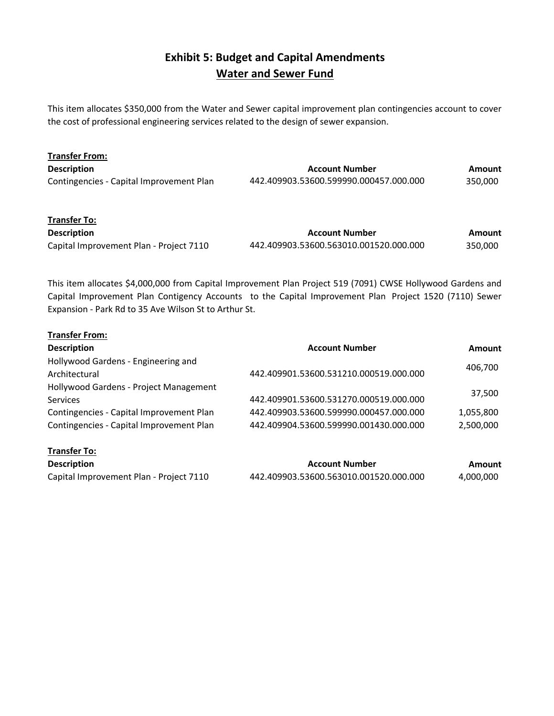#### **Exhibit 5: Budget and Capital Amendments Water and Sewer Fund**

This item allocates \$350,000 from the Water and Sewer capital improvement plan contingencies account to cover the cost of professional engineering services related to the design of sewer expansion.

| <b>Transfer From:</b>                    |                                        |         |
|------------------------------------------|----------------------------------------|---------|
| <b>Description</b>                       | <b>Account Number</b>                  | Amount  |
| Contingencies - Capital Improvement Plan | 442.409903.53600.599990.000457.000.000 | 350,000 |
| <b>Transfer To:</b>                      |                                        |         |

| <b>Description</b>                      | <b>Account Number</b>                  | Amount  |
|-----------------------------------------|----------------------------------------|---------|
| Capital Improvement Plan - Project 7110 | 442.409903.53600.563010.001520.000.000 | 350,000 |

This item allocates \$4,000,000 from Capital Improvement Plan Project 519 (7091) CWSE Hollywood Gardens and Capital Improvement Plan Contigency Accounts to the Capital Improvement Plan Project 1520 (7110) Sewer Expansion - Park Rd to 35 Ave Wilson St to Arthur St.

| <b>Transfer From:</b>                    |                                        |           |  |  |
|------------------------------------------|----------------------------------------|-----------|--|--|
| <b>Description</b>                       | <b>Account Number</b>                  | Amount    |  |  |
| Hollywood Gardens - Engineering and      |                                        |           |  |  |
| Architectural                            | 442.409901.53600.531210.000519.000.000 | 406,700   |  |  |
| Hollywood Gardens - Project Management   |                                        |           |  |  |
| <b>Services</b>                          | 442.409901.53600.531270.000519.000.000 | 37,500    |  |  |
| Contingencies - Capital Improvement Plan | 442.409903.53600.599990.000457.000.000 | 1,055,800 |  |  |
| Contingencies - Capital Improvement Plan | 442.409904.53600.599990.001430.000.000 | 2,500,000 |  |  |
| <b>Transfer To:</b>                      |                                        |           |  |  |
| <b>Description</b>                       | <b>Account Number</b>                  | Amount    |  |  |
| Capital Improvement Plan - Project 7110  | 442.409903.53600.563010.001520.000.000 | 4,000,000 |  |  |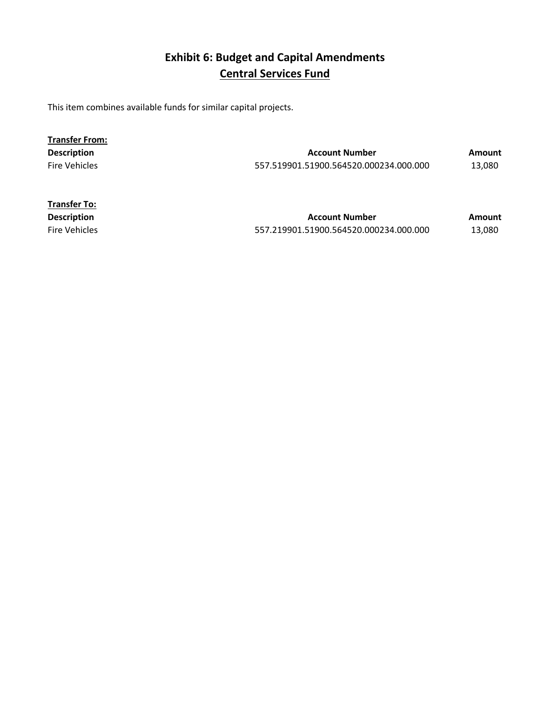# **Exhibit 6: Budget and Capital Amendments Central Services Fund**

This item combines available funds for similar capital projects.

| <b>Transfer From:</b> |                                        |        |
|-----------------------|----------------------------------------|--------|
| <b>Description</b>    | <b>Account Number</b>                  | Amount |
| <b>Fire Vehicles</b>  | 557.519901.51900.564520.000234.000.000 | 13.080 |

| <b>Transfer To:</b>  |                                        |        |
|----------------------|----------------------------------------|--------|
| <b>Description</b>   | <b>Account Number</b>                  | Amount |
| <b>Fire Vehicles</b> | 557.219901.51900.564520.000234.000.000 | 13.080 |